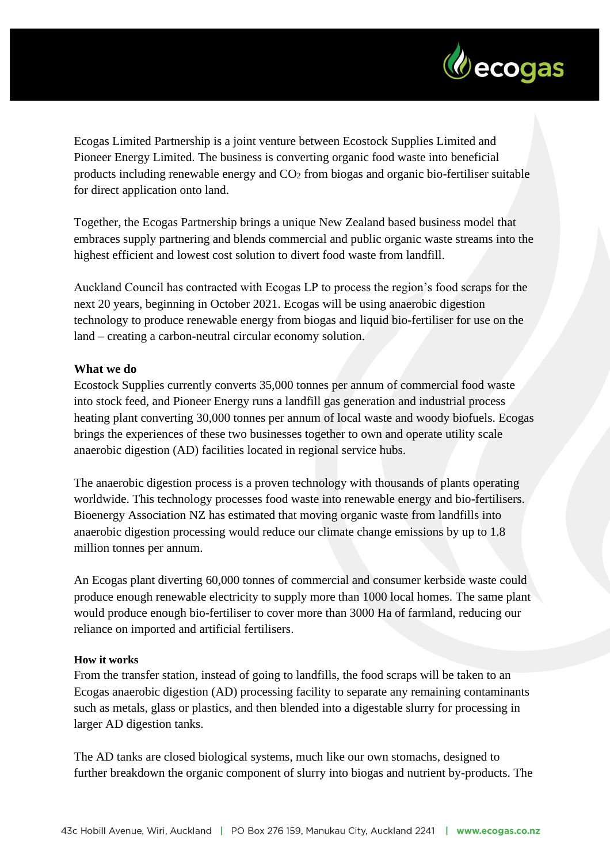

Ecogas Limited Partnership is a joint venture between Ecostock Supplies Limited and Pioneer Energy Limited. The business is converting organic food waste into beneficial products including renewable energy and CO<sup>2</sup> from biogas and organic bio-fertiliser suitable for direct application onto land.

Together, the Ecogas Partnership brings a unique New Zealand based business model that embraces supply partnering and blends commercial and public organic waste streams into the highest efficient and lowest cost solution to divert food waste from landfill.

Auckland Council has contracted with Ecogas LP to process the region's food scraps for the next 20 years, beginning in October 2021. Ecogas will be using anaerobic digestion technology to produce renewable energy from biogas and liquid bio-fertiliser for use on the land – creating a carbon-neutral circular economy solution.

## **What we do**

Ecostock Supplies currently converts 35,000 tonnes per annum of commercial food waste into stock feed, and Pioneer Energy runs a landfill gas generation and industrial process heating plant converting 30,000 tonnes per annum of local waste and woody biofuels. Ecogas brings the experiences of these two businesses together to own and operate utility scale anaerobic digestion (AD) facilities located in regional service hubs.

The anaerobic digestion process is a proven technology with thousands of plants operating worldwide. This technology processes food waste into renewable energy and bio-fertilisers. Bioenergy Association NZ has estimated that moving organic waste from landfills into anaerobic digestion processing would reduce our climate change emissions by up to 1.8 million tonnes per annum.

An Ecogas plant diverting 60,000 tonnes of commercial and consumer kerbside waste could produce enough renewable electricity to supply more than 1000 local homes. The same plant would produce enough bio-fertiliser to cover more than 3000 Ha of farmland, reducing our reliance on imported and artificial fertilisers.

## **How it works**

From the transfer station, instead of going to landfills, the food scraps will be taken to an Ecogas anaerobic digestion (AD) processing facility to separate any remaining contaminants such as metals, glass or plastics, and then blended into a digestable slurry for processing in larger AD digestion tanks.

The AD tanks are closed biological systems, much like our own stomachs, designed to further breakdown the organic component of slurry into biogas and nutrient by-products. The